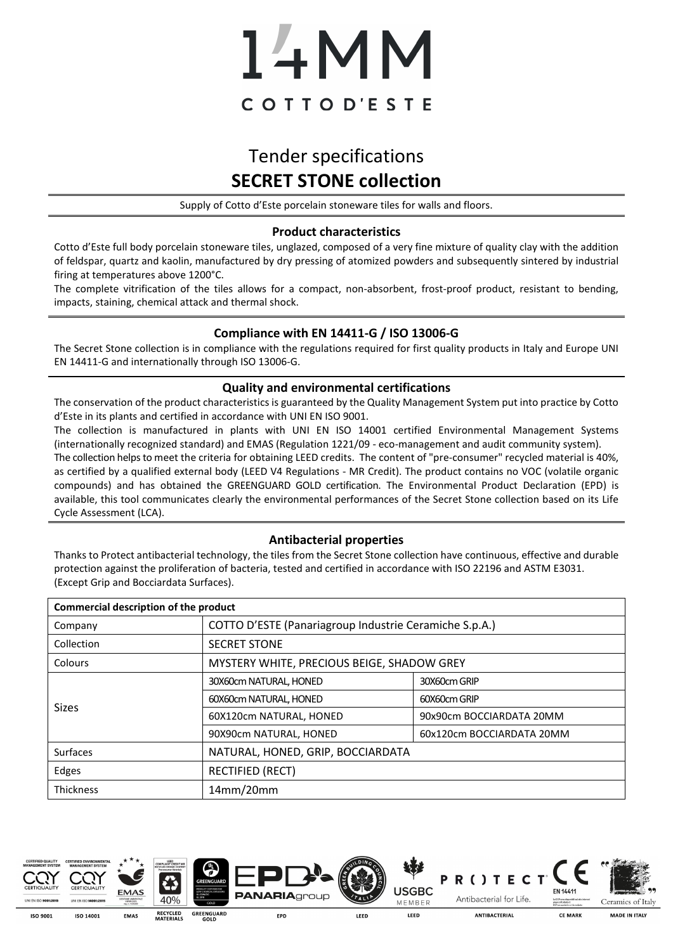# 14MM COTTOD'ESTE

## Tender specifications **SECRET STONE collection**

Supply of Cotto d'Este porcelain stoneware tiles for walls and floors.

#### **Product characteristics**

Cotto d'Este full body porcelain stoneware tiles, unglazed, composed of a very fine mixture of quality clay with the addition of feldspar, quartz and kaolin, manufactured by dry pressing of atomized powders and subsequently sintered by industrial firing at temperatures above 1200°C.

The complete vitrification of the tiles allows for a compact, non-absorbent, frost-proof product, resistant to bending, impacts, staining, chemical attack and thermal shock.

#### **Compliance with EN 14411-G / ISO 13006-G**

The Secret Stone collection is in compliance with the regulations required for first quality products in Italy and Europe UNI EN 14411-G and internationally through ISO 13006-G.

#### **Quality and environmental certifications**

The conservation of the product characteristics is guaranteed by the Quality Management System put into practice by Cotto d'Este in its plants and certified in accordance with UNI EN ISO 9001.

The collection is manufactured in plants with UNI EN ISO 14001 certified Environmental Management Systems (internationally recognized standard) and EMAS (Regulation 1221/09 - eco-management and audit community system). The collection helps to meet the criteria for obtaining LEED credits. The content of "pre-consumer" recycled material is 40%, as certified by a qualified external body (LEED V4 Regulations - MR Credit). The product contains no VOC (volatile organic compounds) and has obtained the GREENGUARD GOLD certification. The Environmental Product Declaration (EPD) is available, this tool communicates clearly the environmental performances of the Secret Stone collection based on its Life Cycle Assessment (LCA).

#### **Antibacterial properties**

Thanks to Protect antibacterial technology, the tiles from the Secret Stone collection have continuous, effective and durable protection against the proliferation of bacteria, tested and certified in accordance with ISO 22196 and ASTM E3031. (Except Grip and Bocciardata Surfaces).

| Commercial description of the product |                                                        |                           |  |  |  |  |
|---------------------------------------|--------------------------------------------------------|---------------------------|--|--|--|--|
| Company                               | COTTO D'ESTE (Panariagroup Industrie Ceramiche S.p.A.) |                           |  |  |  |  |
| Collection                            | <b>SECRET STONE</b>                                    |                           |  |  |  |  |
| <b>Colours</b>                        | MYSTERY WHITE, PRECIOUS BEIGE, SHADOW GREY             |                           |  |  |  |  |
| <b>Sizes</b>                          | 30X60cm NATURAL, HONED                                 | 30X60cm GRIP              |  |  |  |  |
|                                       | 60X60cm NATURAL, HONED                                 | 60X60cm GRIP              |  |  |  |  |
|                                       | 60X120cm NATURAL, HONED                                | 90x90cm BOCCIARDATA 20MM  |  |  |  |  |
|                                       | 90X90cm NATURAL, HONED                                 | 60x120cm BOCCIARDATA 20MM |  |  |  |  |
| Surfaces                              | NATURAL, HONED, GRIP, BOCCIARDATA                      |                           |  |  |  |  |
| Edges                                 | <b>RECTIFIED (RECT)</b>                                |                           |  |  |  |  |
| <b>Thickness</b>                      | 14mm/20mm                                              |                           |  |  |  |  |







**PANARIA**group



R() TECT





ISO 9003 ISO 1400:

**RECYCLED**<br>MATERIALS **GREENGUARD**<br>GOLD EMAS

EPD

LEED

LEED

**ANTIRACTERIAL** 

**CE MARK** 

MADE IN ITAIV